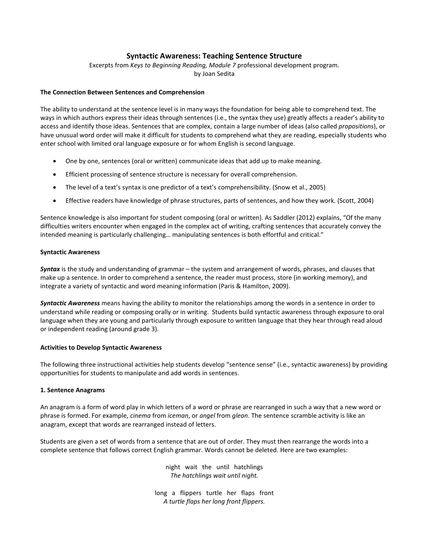# **Syntactic Awareness: Teaching Sentence Structure**

Excerpts from *Keys to Beginning Reading, Module 7* professional development program. by Joan Sedita

### **The Connection Between Sentences and Comprehension**

The ability to understand at the sentence level is in many ways the foundation for being able to comprehend text. The ways in which authors express their ideas through sentences (i.e., the syntax they use) greatly affects a reader's ability to access and identify those ideas. Sentences that are complex, contain a large number of ideas (also called *propositions*), or have unusual word order will make it difficult for students to comprehend what they are reading, especially students who enter school with limited oral language exposure or for whom English is second language.

- One by one, sentences (oral or written) communicate ideas that add up to make meaning.
- Efficient processing of sentence structure is necessary for overall comprehension.
- The level of a text's syntax is one predictor of a text's comprehensibility. (Snow et al., 2005)
- Effective readers have knowledge of phrase structures, parts of sentences, and how they work. (Scott, 2004)

Sentence knowledge is also important for student composing (oral or written). As Saddler (2012) explains, "Of the many difficulties writers encounter when engaged in the complex act of writing, crafting sentences that accurately convey the intended meaning is particularly challenging… manipulating sentences is both effortful and critical."

#### **Syntactic Awareness**

*Syntax* is the study and understanding of grammar – the system and arrangement of words, phrases, and clauses that make up a sentence. In order to comprehend a sentence, the reader must process, store (in working memory), and integrate a variety of syntactic and word meaning information (Paris & Hamilton, 2009).

*Syntactic Awareness* means having the ability to monitor the relationships among the words in a sentence in order to understand while reading or composing orally or in writing. Students build syntactic awareness through exposure to oral language when they are young and particularly through exposure to written language that they hear through read aloud or independent reading (around grade 3).

#### **Activities to Develop Syntactic Awareness**

The following three instructional activities help students develop "sentence sense" (i.e., syntactic awareness) by providing opportunities for students to manipulate and add words in sentences.

#### **1. Sentence Anagrams**

An anagram is a form of word play in which letters of a word or phrase are rearranged in such a way that a new word or phrase is formed. For example, *cinema* from *iceman*, or *angel* from *glean*. The sentence scramble activity is like an anagram, except that words are rearranged instead of letters.

Students are given a set of words from a sentence that are out of order. They must then rearrange the words into a complete sentence that follows correct English grammar. Words cannot be deleted. Here are two examples:

> night wait the until hatchlings *The hatchlings wait until night.*

long a flippers turtle her flaps front *A turtle flaps her long front flippers.*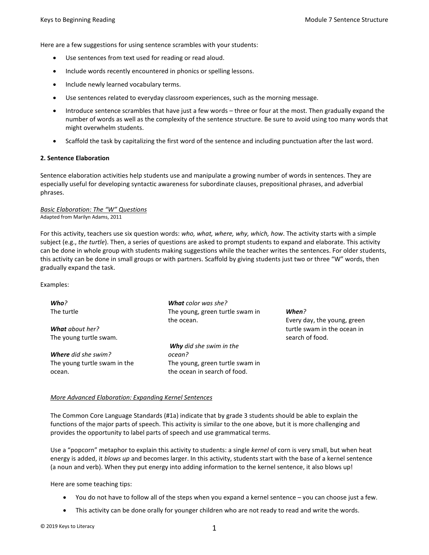Here are a few suggestions for using sentence scrambles with your students:

- Use sentences from text used for reading or read aloud.
- Include words recently encountered in phonics or spelling lessons.
- Include newly learned vocabulary terms.
- Use sentences related to everyday classroom experiences, such as the morning message.
- Introduce sentence scrambles that have just a few words three or four at the most. Then gradually expand the number of words as well as the complexity of the sentence structure. Be sure to avoid using too many words that might overwhelm students.
- Scaffold the task by capitalizing the first word of the sentence and including punctuation after the last word.

### **2. Sentence Elaboration**

Sentence elaboration activities help students use and manipulate a growing number of words in sentences. They are especially useful for developing syntactic awareness for subordinate clauses, prepositional phrases, and adverbial phrases.

#### *Basic Elaboration: The "W" Questions* Adapted from Marilyn Adams, 2011

For this activity, teachers use six question words: *who, what, where, why, which, how*. The activity starts with a simple subject (e.g., *the turtle*). Then, a series of questions are asked to prompt students to expand and elaborate. This activity can be done in whole group with students making suggestions while the teacher writes the sentences. For older students, this activity can be done in small groups or with partners. Scaffold by giving students just two or three "W" words, then gradually expand the task.

Examples:

| Every day, the young, green |
|-----------------------------|
| turtle swam in the ocean in |
| search of food.             |
|                             |
|                             |
|                             |
|                             |
|                             |

## *More Advanced Elaboration: Expanding Kernel Sentences*

The Common Core Language Standards (#1a) indicate that by grade 3 students should be able to explain the functions of the major parts of speech. This activity is similar to the one above, but it is more challenging and provides the opportunity to label parts of speech and use grammatical terms.

Use a "popcorn" metaphor to explain this activity to students: a single *kernel* of corn is very small, but when heat energy is added, it *blows up* and becomes larger. In this activity, students start with the base of a kernel sentence (a noun and verb). When they put energy into adding information to the kernel sentence, it also blows up!

Here are some teaching tips:

- You do not have to follow all of the steps when you expand a kernel sentence you can choose just a few.
- This activity can be done orally for younger children who are not ready to read and write the words.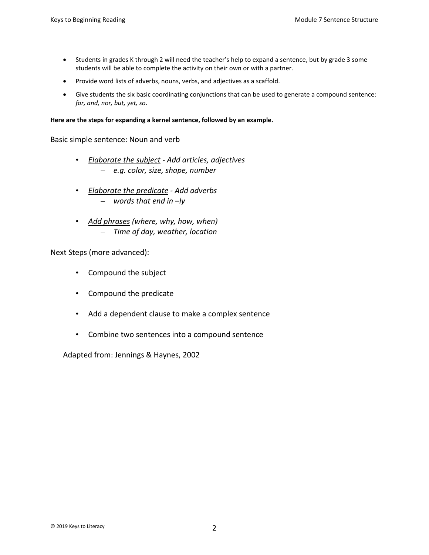- Students in grades K through 2 will need the teacher's help to expand a sentence, but by grade 3 some students will be able to complete the activity on their own or with a partner.
- Provide word lists of adverbs, nouns, verbs, and adjectives as a scaffold.
- Give students the six basic coordinating conjunctions that can be used to generate a compound sentence: *for, and, nor, but, yet, so*.

**Here are the steps for expanding a kernel sentence, followed by an example.**

Basic simple sentence: Noun and verb

- *Elaborate the subject Add articles, adjectives* – *e.g. color, size, shape, number*
- *Elaborate the predicate Add adverbs* – *words that end in –ly*
- *Add phrases (where, why, how, when)* – *Time of day, weather, location*

Next Steps (more advanced):

- Compound the subject
- Compound the predicate
- Add a dependent clause to make a complex sentence
- Combine two sentences into a compound sentence

Adapted from: Jennings & Haynes, 2002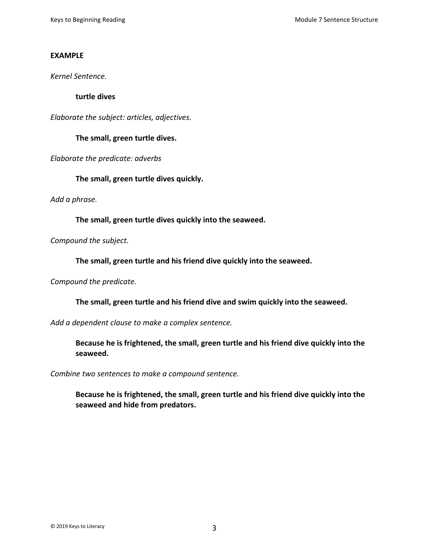# **EXAMPLE**

*Kernel Sentence.*

**turtle dives**

*Elaborate the subject: articles, adjectives.*

**The small, green turtle dives.** 

*Elaborate the predicate: adverbs*

**The small, green turtle dives quickly.** 

*Add a phrase.*

**The small, green turtle dives quickly into the seaweed.**

*Compound the subject.*

**The small, green turtle and his friend dive quickly into the seaweed.** 

*Compound the predicate.* 

**The small, green turtle and his friend dive and swim quickly into the seaweed.** 

*Add a dependent clause to make a complex sentence.* 

**Because he is frightened, the small, green turtle and his friend dive quickly into the seaweed.** 

*Combine two sentences to make a compound sentence.* 

**Because he is frightened, the small, green turtle and his friend dive quickly into the seaweed and hide from predators.**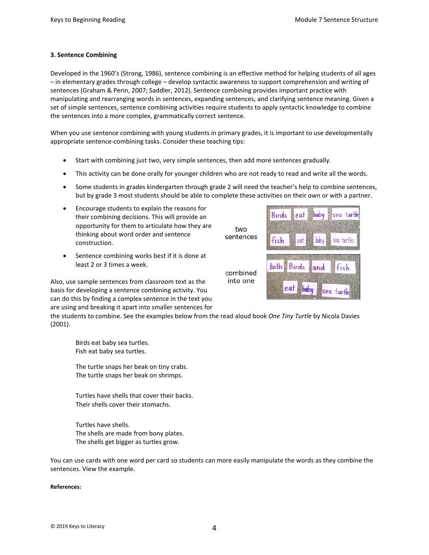## **3. Sentence Combining**

Developed in the 1960's (Strong, 1986), sentence combining is an effective method for helping students of all ages – in elementary grades through college – develop syntactic awareness to support comprehension and writing of sentences (Graham & Perin, 2007; Saddler, 2012). Sentence combining provides important practice with manipulating and rearranging words in sentences, expanding sentences, and clarifying sentence meaning. Given a set of simple sentences, sentence combining activities require students to apply syntactic knowledge to combine the sentences into a more complex, grammatically correct sentence.

When you use sentence combining with young students in primary grades, it is important to use developmentally appropriate sentence-combining tasks. Consider these teaching tips:

- Start with combining just two, very simple sentences, then add more sentences gradually.
- This activity can be done orally for younger children who are not ready to read and write all the words.
- Some students in grades kindergarten through grade 2 will need the teacher's help to combine sentences, but by grade 3 most students should be able to complete these activities on their own or with a partner.

**two** 

- Encourage students to explain the reasons for their combining decisions. This will provide an opportunity for them to articulate how they are thinking about word order and sentence construction.
- Sentence combining works best if it is done at least 2 or 3 times a week.

Also, use sample sentences from classroom text as the basis for developing a sentence combining activity. You can do this by finding a complex sentence in the text you are using and breaking it apart into smaller sentences for



the students to combine. See the examples below from the read aloud book *One Tiny Turtle* by Nicola Davies (2001).

Birds eat baby sea turtles. Fish eat baby sea turtles.

The turtle snaps her beak on tiny crabs. The turtle snaps her beak on shrimps.

Turtles have shells that cover their backs. Their shells cover their stomachs.

Turtles have shells. The shells are made from bony plates. The shells get bigger as turtles grow.

You can use cards with one word per card so students can more easily manipulate the words as they combine the sentences. View the example.

#### **References:**